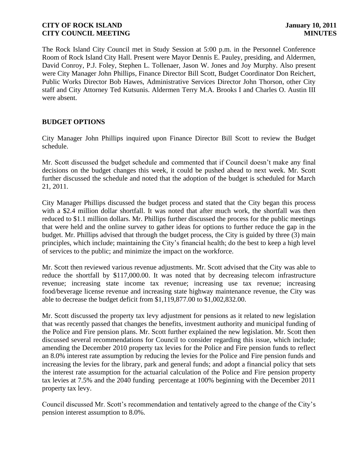The Rock Island City Council met in Study Session at 5:00 p.m. in the Personnel Conference Room of Rock Island City Hall. Present were Mayor Dennis E. Pauley, presiding, and Aldermen, David Conroy, P.J. Foley, Stephen L. Tollenaer, Jason W. Jones and Joy Murphy. Also present were City Manager John Phillips, Finance Director Bill Scott, Budget Coordinator Don Reichert, Public Works Director Bob Hawes, Administrative Services Director John Thorson, other City staff and City Attorney Ted Kutsunis. Aldermen Terry M.A. Brooks I and Charles O. Austin III were absent.

# **BUDGET OPTIONS**

City Manager John Phillips inquired upon Finance Director Bill Scott to review the Budget schedule.

Mr. Scott discussed the budget schedule and commented that if Council doesn't make any final decisions on the budget changes this week, it could be pushed ahead to next week. Mr. Scott further discussed the schedule and noted that the adoption of the budget is scheduled for March 21, 2011.

City Manager Phillips discussed the budget process and stated that the City began this process with a \$2.4 million dollar shortfall. It was noted that after much work, the shortfall was then reduced to \$1.1 million dollars. Mr. Phillips further discussed the process for the public meetings that were held and the online survey to gather ideas for options to further reduce the gap in the budget. Mr. Phillips advised that through the budget process, the City is guided by three (3) main principles, which include; maintaining the City's financial health; do the best to keep a high level of services to the public; and minimize the impact on the workforce.

Mr. Scott then reviewed various revenue adjustments. Mr. Scott advised that the City was able to reduce the shortfall by \$117,000.00. It was noted that by decreasing telecom infrastructure revenue; increasing state income tax revenue; increasing use tax revenue; increasing food/beverage license revenue and increasing state highway maintenance revenue, the City was able to decrease the budget deficit from \$1,119,877.00 to \$1,002,832.00.

Mr. Scott discussed the property tax levy adjustment for pensions as it related to new legislation that was recently passed that changes the benefits, investment authority and municipal funding of the Police and Fire pension plans. Mr. Scott further explained the new legislation. Mr. Scott then discussed several recommendations for Council to consider regarding this issue, which include; amending the December 2010 property tax levies for the Police and Fire pension funds to reflect an 8.0% interest rate assumption by reducing the levies for the Police and Fire pension funds and increasing the levies for the library, park and general funds; and adopt a financial policy that sets the interest rate assumption for the actuarial calculation of the Police and Fire pension property tax levies at 7.5% and the 2040 funding percentage at 100% beginning with the December 2011 property tax levy.

Council discussed Mr. Scott's recommendation and tentatively agreed to the change of the City's pension interest assumption to 8.0%.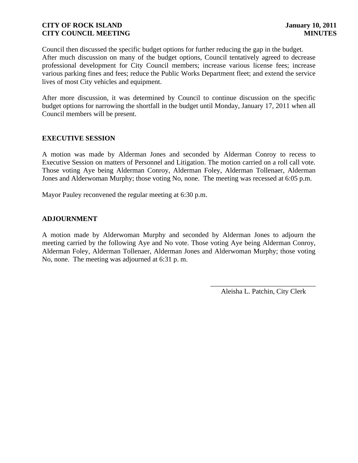Council then discussed the specific budget options for further reducing the gap in the budget. After much discussion on many of the budget options, Council tentatively agreed to decrease professional development for City Council members; increase various license fees; increase various parking fines and fees; reduce the Public Works Department fleet; and extend the service lives of most City vehicles and equipment.

After more discussion, it was determined by Council to continue discussion on the specific budget options for narrowing the shortfall in the budget until Monday, January 17, 2011 when all Council members will be present.

# **EXECUTIVE SESSION**

A motion was made by Alderman Jones and seconded by Alderman Conroy to recess to Executive Session on matters of Personnel and Litigation. The motion carried on a roll call vote. Those voting Aye being Alderman Conroy, Alderman Foley, Alderman Tollenaer, Alderman Jones and Alderwoman Murphy; those voting No, none. The meeting was recessed at 6:05 p.m.

Mayor Pauley reconvened the regular meeting at 6:30 p.m.

# **ADJOURNMENT**

A motion made by Alderwoman Murphy and seconded by Alderman Jones to adjourn the meeting carried by the following Aye and No vote. Those voting Aye being Alderman Conroy, Alderman Foley, Alderman Tollenaer, Alderman Jones and Alderwoman Murphy; those voting No, none. The meeting was adjourned at 6:31 p. m.

> \_\_\_\_\_\_\_\_\_\_\_\_\_\_\_\_\_\_\_\_\_\_\_\_\_\_\_\_\_\_ Aleisha L. Patchin, City Clerk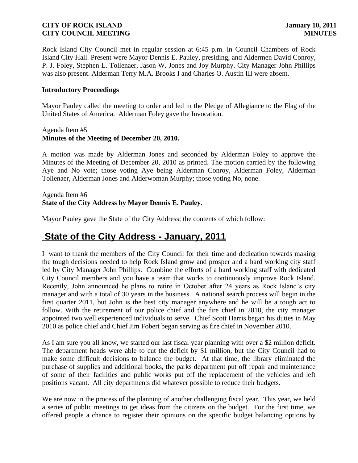Rock Island City Council met in regular session at 6:45 p.m. in Council Chambers of Rock Island City Hall. Present were Mayor Dennis E. Pauley, presiding, and Aldermen David Conroy, P. J. Foley, Stephen L. Tollenaer, Jason W. Jones and Joy Murphy. City Manager John Phillips was also present. Alderman Terry M.A. Brooks I and Charles O. Austin III were absent.

#### **Introductory Proceedings**

Mayor Pauley called the meeting to order and led in the Pledge of Allegiance to the Flag of the United States of America. Alderman Foley gave the Invocation.

#### Agenda Item #5 **Minutes of the Meeting of December 20, 2010.**

A motion was made by Alderman Jones and seconded by Alderman Foley to approve the Minutes of the Meeting of December 20, 2010 as printed. The motion carried by the following Aye and No vote; those voting Aye being Alderman Conroy, Alderman Foley, Alderman Tollenaer, Alderman Jones and Alderwoman Murphy; those voting No, none.

## Agenda Item #6 **State of the City Address by Mayor Dennis E. Pauley.**

Mayor Pauley gave the State of the City Address; the contents of which follow:

# **State of the City Address - January, 2011**

I want to thank the members of the City Council for their time and dedication towards making the tough decisions needed to help Rock Island grow and prosper and a hard working city staff led by City Manager John Phillips. Combine the efforts of a hard working staff with dedicated City Council members and you have a team that works to continuously improve Rock Island. Recently, John announced he plans to retire in October after 24 years as Rock Island's city manager and with a total of 30 years in the business. A national search process will begin in the first quarter 2011, but John is the best city manager anywhere and he will be a tough act to follow. With the retirement of our police chief and the fire chief in 2010, the city manager appointed two well experienced individuals to serve. Chief Scott Harris began his duties in May 2010 as police chief and Chief Jim Fobert began serving as fire chief in November 2010.

As I am sure you all know, we started our last fiscal year planning with over a \$2 million deficit. The department heads were able to cut the deficit by \$1 million, but the City Council had to make some difficult decisions to balance the budget. At that time, the library eliminated the purchase of supplies and additional books, the parks department put off repair and maintenance of some of their facilities and public works put off the replacement of the vehicles and left positions vacant. All city departments did whatever possible to reduce their budgets.

We are now in the process of the planning of another challenging fiscal year. This year, we held a series of public meetings to get ideas from the citizens on the budget. For the first time, we offered people a chance to register their opinions on the specific budget balancing options by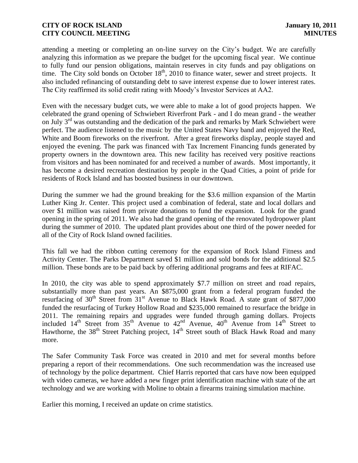attending a meeting or completing an on-line survey on the City's budget. We are carefully analyzing this information as we prepare the budget for the upcoming fiscal year. We continue to fully fund our pension obligations, maintain reserves in city funds and pay obligations on time. The City sold bonds on October 18<sup>th</sup>, 2010 to finance water, sewer and street projects. It also included refinancing of outstanding debt to save interest expense due to lower interest rates. The City reaffirmed its solid credit rating with Moody's Investor Services at AA2.

Even with the necessary budget cuts, we were able to make a lot of good projects happen. We celebrated the grand opening of Schwiebert Riverfront Park - and I do mean grand - the weather on July  $3<sup>rd</sup>$  was outstanding and the dedication of the park and remarks by Mark Schwiebert were perfect. The audience listened to the music by the United States Navy band and enjoyed the Red, White and Boom fireworks on the riverfront. After a great fireworks display, people stayed and enjoyed the evening. The park was financed with Tax Increment Financing funds generated by property owners in the downtown area. This new facility has received very positive reactions from visitors and has been nominated for and received a number of awards. Most importantly, it has become a desired recreation destination by people in the Quad Cities, a point of pride for residents of Rock Island and has boosted business in our downtown.

During the summer we had the ground breaking for the \$3.6 million expansion of the Martin Luther King Jr. Center. This project used a combination of federal, state and local dollars and over \$1 million was raised from private donations to fund the expansion. Look for the grand opening in the spring of 2011. We also had the grand opening of the renovated hydropower plant during the summer of 2010. The updated plant provides about one third of the power needed for all of the City of Rock Island owned facilities.

This fall we had the ribbon cutting ceremony for the expansion of Rock Island Fitness and Activity Center. The Parks Department saved \$1 million and sold bonds for the additional \$2.5 million. These bonds are to be paid back by offering additional programs and fees at RIFAC.

In 2010, the city was able to spend approximately \$7.7 million on street and road repairs, substantially more than past years. An \$875,000 grant from a federal program funded the resurfacing of  $30<sup>th</sup>$  Street from  $31<sup>st</sup>$  Avenue to Black Hawk Road. A state grant of \$877,000 funded the resurfacing of Turkey Hollow Road and \$235,000 remained to resurface the bridge in 2011. The remaining repairs and upgrades were funded through gaming dollars. Projects included  $14<sup>th</sup>$  Street from  $35<sup>th</sup>$  Avenue to  $42<sup>nd</sup>$  Avenue,  $40<sup>th</sup>$  Avenue from  $14<sup>th</sup>$  Street to Hawthorne, the 38<sup>th</sup> Street Patching project, 14<sup>th</sup> Street south of Black Hawk Road and many more.

The Safer Community Task Force was created in 2010 and met for several months before preparing a report of their recommendations. One such recommendation was the increased use of technology by the police department. Chief Harris reported that cars have now been equipped with video cameras, we have added a new finger print identification machine with state of the art technology and we are working with Moline to obtain a firearms training simulation machine.

Earlier this morning, I received an update on crime statistics.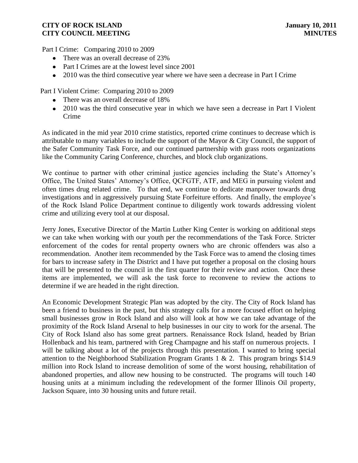Part I Crime: Comparing 2010 to 2009

- There was an overall decrease of 23%
- Part I Crimes are at the lowest level since 2001
- 2010 was the third consecutive year where we have seen a decrease in Part I Crime

Part I Violent Crime: Comparing 2010 to 2009

- There was an overall decrease of 18%
- 2010 was the third consecutive year in which we have seen a decrease in Part I Violent Crime

As indicated in the mid year 2010 crime statistics, reported crime continues to decrease which is attributable to many variables to include the support of the Mayor & City Council, the support of the Safer Community Task Force, and our continued partnership with grass roots organizations like the Community Caring Conference, churches, and block club organizations.

We continue to partner with other criminal justice agencies including the State's Attorney's Office, The United States' Attorney's Office, QCFGTF, ATF, and MEG in pursuing violent and often times drug related crime. To that end, we continue to dedicate manpower towards drug investigations and in aggressively pursuing State Forfeiture efforts. And finally, the employee's of the Rock Island Police Department continue to diligently work towards addressing violent crime and utilizing every tool at our disposal.

Jerry Jones, Executive Director of the Martin Luther King Center is working on additional steps we can take when working with our youth per the recommendations of the Task Force. Stricter enforcement of the codes for rental property owners who are chronic offenders was also a recommendation. Another item recommended by the Task Force was to amend the closing times for bars to increase safety in The District and I have put together a proposal on the closing hours that will be presented to the council in the first quarter for their review and action. Once these items are implemented, we will ask the task force to reconvene to review the actions to determine if we are headed in the right direction.

An Economic Development Strategic Plan was adopted by the city. The City of Rock Island has been a friend to business in the past, but this strategy calls for a more focused effort on helping small businesses grow in Rock Island and also will look at how we can take advantage of the proximity of the Rock Island Arsenal to help businesses in our city to work for the arsenal. The City of Rock Island also has some great partners. Renaissance Rock Island, headed by Brian Hollenback and his team, partnered with Greg Champagne and his staff on numerous projects. I will be talking about a lot of the projects through this presentation. I wanted to bring special attention to the Neighborhood Stabilization Program Grants 1 & 2. This program brings \$14.9 million into Rock Island to increase demolition of some of the worst housing, rehabilitation of abandoned properties, and allow new housing to be constructed. The programs will touch 140 housing units at a minimum including the redevelopment of the former Illinois Oil property, Jackson Square, into 30 housing units and future retail.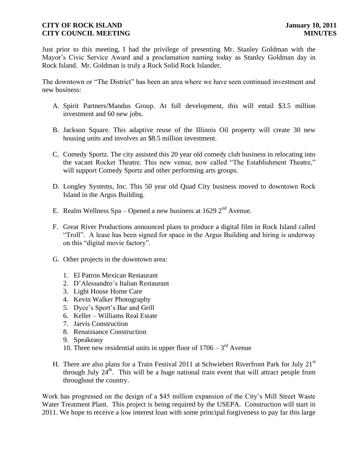Just prior to this meeting, I had the privilege of presenting Mr. Stanley Goldman with the Mayor's Civic Service Award and a proclamation naming today as Stanley Goldman day in Rock Island. Mr. Goldman is truly a Rock Solid Rock Islander.

The downtown or "The District" has been an area where we have seen continued investment and new business:

- A. Spirit Partners/Mandus Group. At full development, this will entail \$3.5 million investment and 60 new jobs.
- B. Jackson Square. This adaptive reuse of the Illinois Oil property will create 30 new housing units and involves an \$8.5 million investment.
- C. Comedy Sportz. The city assisted this 20 year old comedy club business in relocating into the vacant Rocket Theatre. This new venue, now called "The Establishment Theatre," will support Comedy Sportz and other performing arts groups.
- D. Longley Systems, Inc. This 50 year old Quad City business moved to downtown Rock Island in the Argus Building.
- E. Realm Wellness Spa Opened a new business at 1629  $2<sup>nd</sup>$  Avenue.
- F. Great River Productions announced plans to produce a digital film in Rock Island called "Troll". A lease has been signed for space in the Argus Building and hiring is underway on this "digital movie factory".
- G. Other projects in the downtown area:
	- 1. El Patron Mexican Restaurant
	- 2. D'Alessandro's Italian Restaurant
	- 3. Light House Home Care
	- 4. Kevin Walker Photography
	- 5. Dyce's Sport's Bar and Grill
	- 6. Keller Williams Real Estate
	- 7. Jarvis Construction
	- 8. Renaissance Construction
	- 9. Speakeasy
	- 10. Three new residential units in upper floor of  $1706 3<sup>rd</sup>$  Avenue
- H. There are also plans for a Train Festival 2011 at Schwiebert Riverfront Park for July  $21<sup>st</sup>$ through July  $24^{\text{th}}$ . This will be a huge national train event that will attract people from throughout the country.

Work has progressed on the design of a \$45 million expansion of the City's Mill Street Waste Water Treatment Plant. This project is being required by the USEPA. Construction will start in 2011. We hope to receive a low interest loan with some principal forgiveness to pay far this large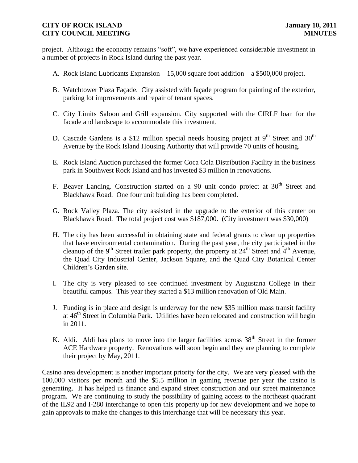project. Although the economy remains "soft", we have experienced considerable investment in a number of projects in Rock Island during the past year.

- A. Rock Island Lubricants Expansion 15,000 square foot addition a \$500,000 project.
- B. Watchtower Plaza Façade. City assisted with façade program for painting of the exterior, parking lot improvements and repair of tenant spaces.
- C. City Limits Saloon and Grill expansion. City supported with the CIRLF loan for the facade and landscape to accommodate this investment.
- D. Cascade Gardens is a \$12 million special needs housing project at  $9<sup>th</sup>$  Street and 30<sup>th</sup> Avenue by the Rock Island Housing Authority that will provide 70 units of housing.
- E. Rock Island Auction purchased the former Coca Cola Distribution Facility in the business park in Southwest Rock Island and has invested \$3 million in renovations.
- F. Beaver Landing. Construction started on a 90 unit condo project at  $30<sup>th</sup>$  Street and Blackhawk Road. One four unit building has been completed.
- G. Rock Valley Plaza. The city assisted in the upgrade to the exterior of this center on Blackhawk Road. The total project cost was \$187,000. (City investment was \$30,000)
- H. The city has been successful in obtaining state and federal grants to clean up properties that have environmental contamination. During the past year, the city participated in the cleanup of the 9<sup>th</sup> Street trailer park property, the property at  $24<sup>th</sup>$  Street and  $4<sup>th</sup>$  Avenue, the Quad City Industrial Center, Jackson Square, and the Quad City Botanical Center Children's Garden site.
- I. The city is very pleased to see continued investment by Augustana College in their beautiful campus. This year they started a \$13 million renovation of Old Main.
- J. Funding is in place and design is underway for the new \$35 million mass transit facility at 46<sup>th</sup> Street in Columbia Park. Utilities have been relocated and construction will begin in 2011.
- K. Aldi. Aldi has plans to move into the larger facilities across  $38<sup>th</sup>$  Street in the former ACE Hardware property. Renovations will soon begin and they are planning to complete their project by May, 2011.

 Casino area development is another important priority for the city. We are very pleased with the 100,000 visitors per month and the \$5.5 million in gaming revenue per year the casino is generating. It has helped us finance and expand street construction and our street maintenance program. We are continuing to study the possibility of gaining access to the northeast quadrant of the IL92 and I-280 interchange to open this property up for new development and we hope to gain approvals to make the changes to this interchange that will be necessary this year.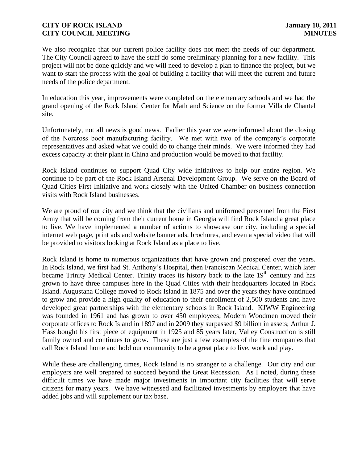We also recognize that our current police facility does not meet the needs of our department. The City Council agreed to have the staff do some preliminary planning for a new facility. This project will not be done quickly and we will need to develop a plan to finance the project, but we want to start the process with the goal of building a facility that will meet the current and future needs of the police department.

In education this year, improvements were completed on the elementary schools and we had the grand opening of the Rock Island Center for Math and Science on the former Villa de Chantel site.

Unfortunately, not all news is good news. Earlier this year we were informed about the closing of the Norcross boot manufacturing facility. We met with two of the company's corporate representatives and asked what we could do to change their minds. We were informed they had excess capacity at their plant in China and production would be moved to that facility.

Rock Island continues to support Quad City wide initiatives to help our entire region. We continue to be part of the Rock Island Arsenal Development Group. We serve on the Board of Quad Cities First Initiative and work closely with the United Chamber on business connection visits with Rock Island businesses.

We are proud of our city and we think that the civilians and uniformed personnel from the First Army that will be coming from their current home in Georgia will find Rock Island a great place to live. We have implemented a number of actions to showcase our city, including a special internet web page, print ads and website banner ads, brochures, and even a special video that will be provided to visitors looking at Rock Island as a place to live.

Rock Island is home to numerous organizations that have grown and prospered over the years. In Rock Island, we first had St. Anthony's Hospital, then Franciscan Medical Center, which later became Trinity Medical Center. Trinity traces its history back to the late 19<sup>th</sup> century and has grown to have three campuses here in the Quad Cities with their headquarters located in Rock Island. Augustana College moved to Rock Island in 1875 and over the years they have continued to grow and provide a high quality of education to their enrollment of 2,500 students and have developed great partnerships with the elementary schools in Rock Island. KJWW Engineering was founded in 1961 and has grown to over 450 employees; Modern Woodmen moved their corporate offices to Rock Island in 1897 and in 2009 they surpassed \$9 billion in assets; Arthur J. Hass bought his first piece of equipment in 1925 and 85 years later, Valley Construction is still family owned and continues to grow. These are just a few examples of the fine companies that call Rock Island home and hold our community to be a great place to live, work and play.

While these are challenging times, Rock Island is no stranger to a challenge. Our city and our employers are well prepared to succeed beyond the Great Recession. As I noted, during these difficult times we have made major investments in important city facilities that will serve citizens for many years. We have witnessed and facilitated investments by employers that have added jobs and will supplement our tax base.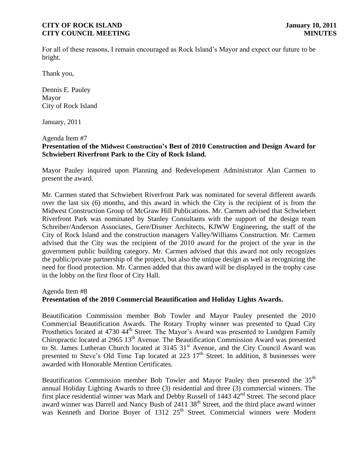For all of these reasons, I remain encouraged as Rock Island's Mayor and expect our future to be bright.

Thank you,

Dennis E. Pauley Mayor City of Rock Island

January, 2011

Agenda Item #7

# **Presentation of the Midwest Construction's Best of 2010 Construction and Design Award for Schwiebert Riverfront Park to the City of Rock Island.**

Mayor Pauley inquired upon Planning and Redevelopment Administrator Alan Carmen to present the award.

Mr. Carmen stated that Schwiebert Riverfront Park was nominated for several different awards over the last six (6) months, and this award in which the City is the recipient of is from the Midwest Construction Group of McGraw Hill Publications. Mr. Carmen advised that Schwiebert Riverfront Park was nominated by Stanley Consultants with the support of the design team Schreiber/Anderson Associates, Gere/Dismer Architects, KJWW Engineering, the staff of the City of Rock Island and the construction managers Valley/Williams Construction. Mr. Carmen advised that the City was the recipient of the 2010 award for the project of the year in the government public building category. Mr. Carmen advised that this award not only recognizes the public/private partnership of the project, but also the unique design as well as recognizing the need for flood protection. Mr. Carmen added that this award will be displayed in the trophy case in the lobby on the first floor of City Hall.

Agenda Item #8

## **Presentation of the 2010 Commercial Beautification and Holiday Lights Awards.**

Beautification Commission member Bob Towler and Mayor Pauley presented the 2010 Commercial Beautification Awards. The Rotary Trophy winner was presented to Quad City Prosthetics located at 4730 44<sup>th</sup> Street. The Mayor's Award was presented to Lundgren Family Chiropractic located at 2965 13<sup>th</sup> Avenue. The Beautification Commission Award was presented to St. James Lutheran Church located at 3145 31<sup>st</sup> Avenue, and the City Council Award was presented to Steve's Old Time Tap located at  $223 \frac{17}{\text{th}}$  Street. In addition, 8 businesses were awarded with Honorable Mention Certificates.

Beautification Commission member Bob Towler and Mayor Pauley then presented the 35<sup>th</sup> annual Holiday Lighting Awards to three (3) residential and three (3) commercial winners. The first place residential winner was Mark and Debby Russell of 1443 42<sup>nd</sup> Street. The second place award winner was Darrell and Nancy Bush of  $2411\,38^{th}$  Street, and the third place award winner was Kenneth and Dorine Boyer of 1312 25<sup>th</sup> Street. Commercial winners were Modern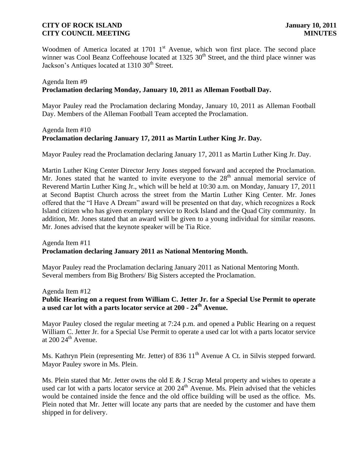Woodmen of America located at 1701 1<sup>st</sup> Avenue, which won first place. The second place winner was Cool Beanz Coffeehouse located at  $1325 \times 30^{th}$  Street, and the third place winner was Jackson's Antiques located at 1310 30<sup>th</sup> Street.

## Agenda Item #9 **Proclamation declaring Monday, January 10, 2011 as Alleman Football Day.**

Mayor Pauley read the Proclamation declaring Monday, January 10, 2011 as Alleman Football Day. Members of the Alleman Football Team accepted the Proclamation.

## Agenda Item #10 **Proclamation declaring January 17, 2011 as Martin Luther King Jr. Day.**

Mayor Pauley read the Proclamation declaring January 17, 2011 as Martin Luther King Jr. Day.

Martin Luther King Center Director Jerry Jones stepped forward and accepted the Proclamation. Mr. Jones stated that he wanted to invite everyone to the  $28<sup>th</sup>$  annual memorial service of Reverend Martin Luther King Jr., which will be held at 10:30 a.m. on Monday, January 17, 2011 at Second Baptist Church across the street from the Martin Luther King Center. Mr. Jones offered that the "I Have A Dream" award will be presented on that day, which recognizes a Rock Island citizen who has given exemplary service to Rock Island and the Quad City community. In addition, Mr. Jones stated that an award will be given to a young individual for similar reasons. Mr. Jones advised that the keynote speaker will be Tia Rice.

## Agenda Item #11 **Proclamation declaring January 2011 as National Mentoring Month.**

Mayor Pauley read the Proclamation declaring January 2011 as National Mentoring Month. Several members from Big Brothers/ Big Sisters accepted the Proclamation.

Agenda Item #12

# **Public Hearing on a request from William C. Jetter Jr. for a Special Use Permit to operate a used car lot with a parts locator service at 200 - 24th Avenue.**

Mayor Pauley closed the regular meeting at 7:24 p.m. and opened a Public Hearing on a request William C. Jetter Jr. for a Special Use Permit to operate a used car lot with a parts locator service at  $200 24$ <sup>th</sup> Avenue.

Ms. Kathryn Plein (representing Mr. Jetter) of 836 11<sup>th</sup> Avenue A Ct. in Silvis stepped forward. Mayor Pauley swore in Ms. Plein.

Ms. Plein stated that Mr. Jetter owns the old E & J Scrap Metal property and wishes to operate a used car lot with a parts locator service at  $200\ 24<sup>th</sup>$  Avenue. Ms. Plein advised that the vehicles would be contained inside the fence and the old office building will be used as the office. Ms. Plein noted that Mr. Jetter will locate any parts that are needed by the customer and have them shipped in for delivery.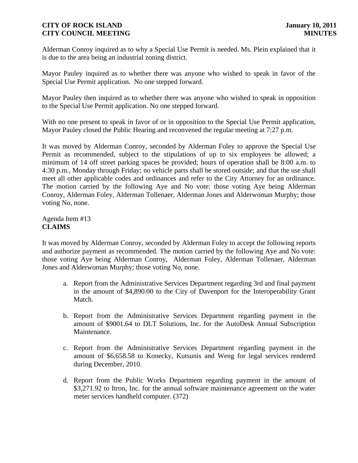Alderman Conroy inquired as to why a Special Use Permit is needed. Ms. Plein explained that it is due to the area being an industrial zoning district.

Mayor Pauley inquired as to whether there was anyone who wished to speak in favor of the Special Use Permit application. No one stepped forward.

Mayor Pauley then inquired as to whether there was anyone who wished to speak in opposition to the Special Use Permit application. No one stepped forward.

With no one present to speak in favor of or in opposition to the Special Use Permit application, Mayor Pauley closed the Public Hearing and reconvened the regular meeting at 7:27 p.m.

It was moved by Alderman Conroy, seconded by Alderman Foley to approve the Special Use Permit as recommended, subject to the stipulations of up to six employees be allowed; a minimum of 14 off street parking spaces be provided; hours of operation shall be 8:00 a.m. to 4:30 p.m., Monday through Friday; no vehicle parts shall be stored outside; and that the use shall meet all other applicable codes and ordinances and refer to the City Attorney for an ordinance. The motion carried by the following Aye and No vote: those voting Aye being Alderman Conroy, Alderman Foley, Alderman Tollenaer, Alderman Jones and Alderwoman Murphy; those voting No, none.

Agenda Item #13 **CLAIMS**

It was moved by Alderman Conroy, seconded by Alderman Foley to accept the following reports and authorize payment as recommended. The motion carried by the following Aye and No vote: those voting Aye being Alderman Conroy, Alderman Foley, Alderman Tollenaer, Alderman Jones and Alderwoman Murphy; those voting No, none.

- a. Report from the Administrative Services Department regarding 3rd and final payment in the amount of \$4,890.00 to the City of Davenport for the Interoperability Grant Match.
- b. Report from the Administrative Services Department regarding payment in the amount of \$9001.64 to DLT Solutions, Inc. for the AutoDesk Annual Subscription Maintenance.
- c. Report from the Administrative Services Department regarding payment in the amount of \$6,658.58 to Konecky, Kutsunis and Weng for legal services rendered during December, 2010.
- d. Report from the Public Works Department regarding payment in the amount of \$3,271.92 to Itron, Inc. for the annual software maintenance agreement on the water meter services handheld computer. (372)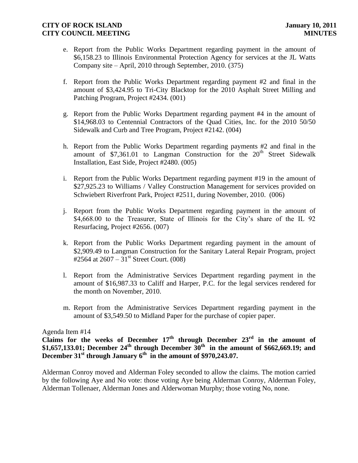- e. Report from the Public Works Department regarding payment in the amount of \$6,158.23 to Illinois Environmental Protection Agency for services at the JL Watts Company site – April, 2010 through September, 2010. (375)
- f. Report from the Public Works Department regarding payment #2 and final in the amount of \$3,424.95 to Tri-City Blacktop for the 2010 Asphalt Street Milling and Patching Program, Project #2434. (001)
- g. Report from the Public Works Department regarding payment #4 in the amount of \$14,968.03 to Centennial Contractors of the Quad Cities, Inc. for the 2010 50/50 Sidewalk and Curb and Tree Program, Project #2142. (004)
- h. Report from the Public Works Department regarding payments #2 and final in the amount of  $$7,361.01$  to Langman Construction for the  $20<sup>th</sup>$  Street Sidewalk Installation, East Side, Project #2480. (005)
- i. Report from the Public Works Department regarding payment #19 in the amount of \$27,925.23 to Williams / Valley Construction Management for services provided on Schwiebert Riverfront Park, Project #2511, during November, 2010. (006)
- j. Report from the Public Works Department regarding payment in the amount of \$4,668.00 to the Treasurer, State of Illinois for the City's share of the IL 92 Resurfacing, Project #2656. (007)
- k. Report from the Public Works Department regarding payment in the amount of \$2,909.49 to Langman Construction for the Sanitary Lateral Repair Program, project #2564 at  $2607 - 31$ <sup>st</sup> Street Court. (008)
- l. Report from the Administrative Services Department regarding payment in the amount of \$16,987.33 to Califf and Harper, P.C. for the legal services rendered for the month on November, 2010.
- m. Report from the Administrative Services Department regarding payment in the amount of \$3,549.50 to Midland Paper for the purchase of copier paper.

## Agenda Item #14

Claims for the weeks of December  $17<sup>th</sup>$  through December  $23<sup>rd</sup>$  in the amount of **\$1,657,133.01; December 24th through December 30th in the amount of \$662,669.19; and December 31st through January 6th in the amount of \$970,243.07.**

Alderman Conroy moved and Alderman Foley seconded to allow the claims. The motion carried by the following Aye and No vote: those voting Aye being Alderman Conroy, Alderman Foley, Alderman Tollenaer, Alderman Jones and Alderwoman Murphy; those voting No, none.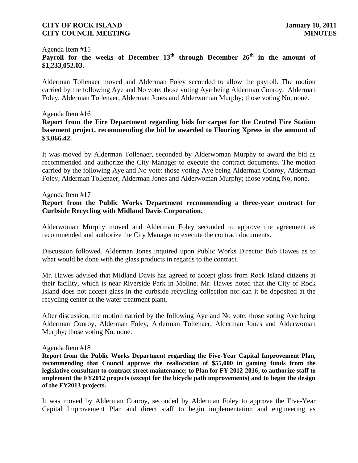# Agenda Item #15 **Payroll for the weeks of December 13th through December 26th in the amount of \$1,233,052.03.**

Alderman Tollenaer moved and Alderman Foley seconded to allow the payroll. The motion carried by the following Aye and No vote: those voting Aye being Alderman Conroy, Alderman Foley, Alderman Tollenaer, Alderman Jones and Alderwoman Murphy; those voting No, none.

#### Agenda Item #16

## **Report from the Fire Department regarding bids for carpet for the Central Fire Station basement project, recommending the bid be awarded to Flooring Xpress in the amount of \$3,066.42.**

It was moved by Alderman Tollenaer, seconded by Alderwoman Murphy to award the bid as recommended and authorize the City Manager to execute the contract documents. The motion carried by the following Aye and No vote: those voting Aye being Alderman Conroy, Alderman Foley, Alderman Tollenaer, Alderman Jones and Alderwoman Murphy; those voting No, none.

#### Agenda Item #17

## **Report from the Public Works Department recommending a three-year contract for Curbside Recycling with Midland Davis Corporation.**

Alderwoman Murphy moved and Alderman Foley seconded to approve the agreement as recommended and authorize the City Manager to execute the contract documents.

Discussion followed. Alderman Jones inquired upon Public Works Director Bob Hawes as to what would be done with the glass products in regards to the contract.

Mr. Hawes advised that Midland Davis has agreed to accept glass from Rock Island citizens at their facility, which is near Riverside Park in Moline. Mr. Hawes noted that the City of Rock Island does not accept glass in the curbside recycling collection nor can it be deposited at the recycling center at the water treatment plant.

After discussion, the motion carried by the following Aye and No vote: those voting Aye being Alderman Conroy, Alderman Foley, Alderman Tollenaer, Alderman Jones and Alderwoman Murphy; those voting No, none.

#### Agenda Item #18

**Report from the Public Works Department regarding the Five-Year Capital Improvement Plan, recommending that Council approve the reallocation of \$55,000 in gaming funds from the legislative consultant to contract street maintenance; to Plan for FY 2012-2016; to authorize staff to implement the FY2012 projects (except for the bicycle path improvements) and to begin the design of the FY2013 projects.**

It was moved by Alderman Conroy, seconded by Alderman Foley to approve the Five-Year Capital Improvement Plan and direct staff to begin implementation and engineering as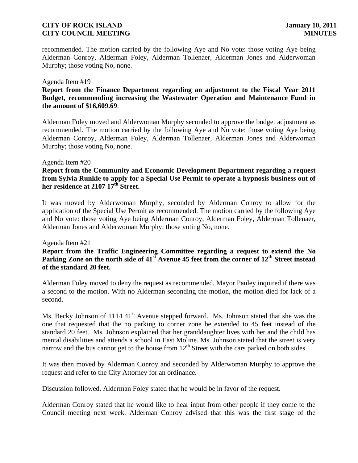recommended. The motion carried by the following Aye and No vote: those voting Aye being Alderman Conroy, Alderman Foley, Alderman Tollenaer, Alderman Jones and Alderwoman Murphy; those voting No, none.

#### Agenda Item #19

# **Report from the Finance Department regarding an adjustment to the Fiscal Year 2011 Budget, recommending increasing the Wastewater Operation and Maintenance Fund in the amount of \$16,609.69**.

Alderman Foley moved and Alderwoman Murphy seconded to approve the budget adjustment as recommended. The motion carried by the following Aye and No vote: those voting Aye being Alderman Conroy, Alderman Foley, Alderman Tollenaer, Alderman Jones and Alderwoman Murphy; those voting No, none.

#### Agenda Item #20

# **Report from the Community and Economic Development Department regarding a request from Sylvia Runkle to apply for a Special Use Permit to operate a hypnosis business out of her residence at 2107 17th Street.**

It was moved by Alderwoman Murphy, seconded by Alderman Conroy to allow for the application of the Special Use Permit as recommended. The motion carried by the following Aye and No vote: those voting Aye being Alderman Conroy, Alderman Foley, Alderman Tollenaer, Alderman Jones and Alderwoman Murphy; those voting No, none.

#### Agenda Item #21

# **Report from the Traffic Engineering Committee regarding a request to extend the No Parking Zone on the north side of 41st Avenue 45 feet from the corner of 12th Street instead of the standard 20 feet.**

Alderman Foley moved to deny the request as recommended. Mayor Pauley inquired if there was a second to the motion. With no Alderman seconding the motion, the motion died for lack of a second.

Ms. Becky Johnson of 1114  $41<sup>st</sup>$  Avenue stepped forward. Ms. Johnson stated that she was the one that requested that the no parking to corner zone be extended to 45 feet instead of the standard 20 feet. Ms. Johnson explained that her granddaughter lives with her and the child has mental disabilities and attends a school in East Moline. Ms. Johnson stated that the street is very narrow and the bus cannot get to the house from  $12<sup>th</sup>$  Street with the cars parked on both sides.

It was then moved by Alderman Conroy and seconded by Alderwoman Murphy to approve the request and refer to the City Attorney for an ordinance.

Discussion followed. Alderman Foley stated that he would be in favor of the request.

Alderman Conroy stated that he would like to hear input from other people if they come to the Council meeting next week. Alderman Conroy advised that this was the first stage of the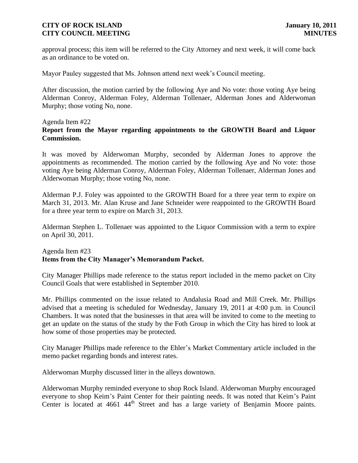approval process; this item will be referred to the City Attorney and next week, it will come back as an ordinance to be voted on.

Mayor Pauley suggested that Ms. Johnson attend next week's Council meeting.

After discussion, the motion carried by the following Aye and No vote: those voting Aye being Alderman Conroy, Alderman Foley, Alderman Tollenaer, Alderman Jones and Alderwoman Murphy; those voting No, none.

#### Agenda Item #22 **Report from the Mayor regarding appointments to the GROWTH Board and Liquor Commission.**

It was moved by Alderwoman Murphy, seconded by Alderman Jones to approve the appointments as recommended. The motion carried by the following Aye and No vote: those voting Aye being Alderman Conroy, Alderman Foley, Alderman Tollenaer, Alderman Jones and Alderwoman Murphy; those voting No, none.

Alderman P.J. Foley was appointed to the GROWTH Board for a three year term to expire on March 31, 2013. Mr. Alan Kruse and Jane Schneider were reappointed to the GROWTH Board for a three year term to expire on March 31, 2013.

Alderman Stephen L. Tollenaer was appointed to the Liquor Commission with a term to expire on April 30, 2011.

# Agenda Item #23 **Items from the City Manager's Memorandum Packet.**

City Manager Phillips made reference to the status report included in the memo packet on City Council Goals that were established in September 2010.

Mr. Phillips commented on the issue related to Andalusia Road and Mill Creek. Mr. Phillips advised that a meeting is scheduled for Wednesday, January 19, 2011 at 4:00 p.m. in Council Chambers. It was noted that the businesses in that area will be invited to come to the meeting to get an update on the status of the study by the Foth Group in which the City has hired to look at how some of those properties may be protected.

City Manager Phillips made reference to the Ehler's Market Commentary article included in the memo packet regarding bonds and interest rates.

Alderwoman Murphy discussed litter in the alleys downtown.

Alderwoman Murphy reminded everyone to shop Rock Island. Alderwoman Murphy encouraged everyone to shop Keim's Paint Center for their painting needs. It was noted that Keim's Paint Center is located at 4661 44<sup>th</sup> Street and has a large variety of Benjamin Moore paints.